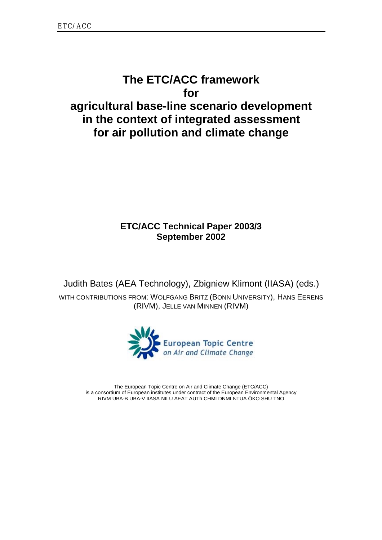# **The ETC/ACC framework for agricultural base-line scenario development in the context of integrated assessment for air pollution and climate change**

# **ETC/ACC Technical Paper 2003/3 September 2002**

Judith Bates (AEA Technology), Zbigniew Klimont (IIASA) (eds.)

WITH CONTRIBUTIONS FROM: WOLFGANG BRITZ (BONN UNIVERSITY), HANS EERENS (RIVM), JELLE VAN MINNEN (RIVM)



The European Topic Centre on Air and Climate Change (ETC/ACC) is a consortium of European institutes under contract of the European Environmental Agency RIVM UBA-B UBA-V IIASA NILU AEAT AUTh CHMI DNMI NTUA ÖKO SHU TNO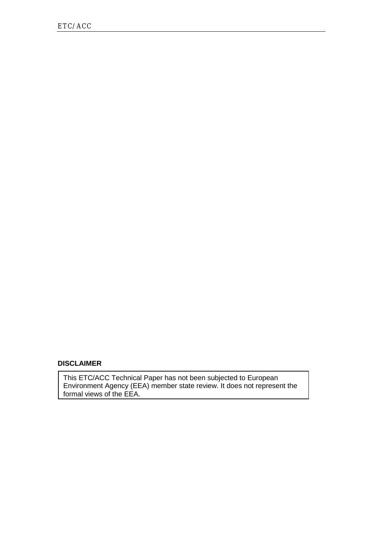#### **DISCLAIMER**

This ETC/ACC Technical Paper has not been subjected to European Environment Agency (EEA) member state review. It does not represent the formal views of the EEA.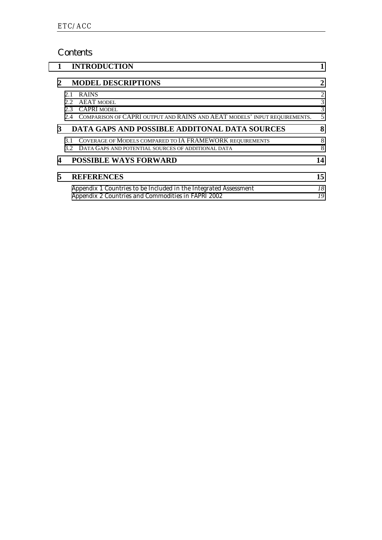# *Contents*

| 1 |            | <b>INTRODUCTION</b>                                                                                                                   |                  |
|---|------------|---------------------------------------------------------------------------------------------------------------------------------------|------------------|
| 2 |            | <b>MODEL DESCRIPTIONS</b>                                                                                                             | 2                |
|   | 2.1<br>2.2 | <b>RAINS</b><br><b>AEAT MODEL</b><br>2.3 CAPRI MODEL<br>2.4 COMPARISON OF CAPRI OUTPUT AND RAINS AND AEAT MODELS' INPUT REQUIREMENTS. | 2<br>3<br>3<br>5 |
| 3 |            | DATA GAPS AND POSSIBLE ADDITONAL DATA SOURCES                                                                                         | 8                |
|   |            | 3.1 COVERAGE OF MODELS COMPARED TO IA FRAMEWORK REQUIREMENTS<br>3.2 DATA GAPS AND POTENTIAL SOURCES OF ADDITIONAL DATA                | 8<br>8           |
| 4 |            | <b>POSSIBLE WAYS FORWARD</b>                                                                                                          | 14               |
| 5 |            | <b>REFERENCES</b>                                                                                                                     | 15               |
|   |            | Appendix 1 Countries to be Included in the Integrated Assessment<br>Appendix 2 Countries and Commodities in FAPRI 2002                | 18<br>19         |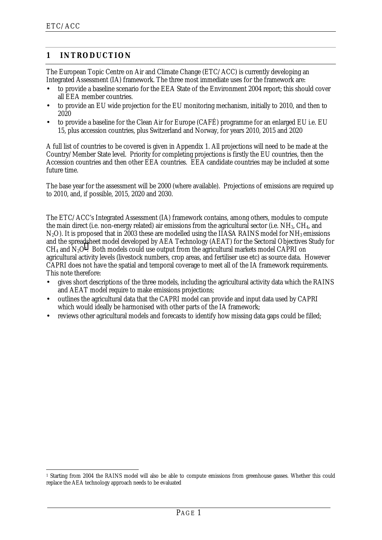$\ddot{\phantom{a}}$ 

## <span id="page-3-0"></span>**1 INTRODUCTION**

The European Topic Centre on Air and Climate Change (ETC/ACC) is currently developing an Integrated Assessment (IA) framework. The three most immediate uses for the framework are:

- to provide a baseline scenario for the EEA State of the Environment 2004 report; this should cover all EEA member countries.
- to provide an EU wide projection for the EU monitoring mechanism, initially to 2010, and then to 2020
- to provide a baseline for the Clean Air for Europe (CAFÉ) programme for an enlarged EU i.e. EU 15, plus accession countries, plus Switzerland and Norway, for years 2010, 2015 and 2020

A full list of countries to be covered is given in Appendix 1. All projections will need to be made at the Country/Member State level. Priority for completing projections is firstly the EU countries, then the Accession countries and then other EEA countries. EEA candidate countries may be included at some future time.

The base year for the assessment will be 2000 (where available). Projections of emissions are required up to 2010, and, if possible, 2015, 2020 and 2030.

The ETC/ACC's Integrated Assessment (IA) framework contains, among others, modules to compute the main direct (i.e. non-energy related) air emissions from the agricultural sector (i.e. NH3, CH4, and  $N_2$ O). It is proposed that in 2003 these are modelled using the IIASA RAINS model for NH<sub>3</sub> emissions and the spreadsheet model developed by AEA Technology (AEAT) for the Sectoral Objectives Study for  $CH<sub>4</sub>$  and  $N<sub>2</sub>O<sup>1</sup>$ . Both models could use output from the agricultural markets model CAPRI on agricultural activity levels (livestock numbers, crop areas, and fertiliser use etc) as source data. However CAPRI does not have the spatial and temporal coverage to meet all of the IA framework requirements. This note therefore:

- gives short descriptions of the three models, including the agricultural activity data which the RAINS and AEAT model require to make emissions projections;
- outlines the agricultural data that the CAPRI model can provide and input data used by CAPRI which would ideally be harmonised with other parts of the IA framework;
- reviews other agricultural models and forecasts to identify how missing data gaps could be filled;

<sup>1</sup> Starting from 2004 the RAINS model will also be able to compute emissions from greenhouse gasses. Whether this could replace the AEA technology approach needs to be evaluated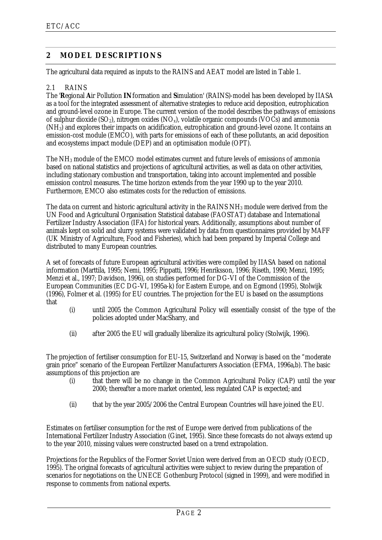## <span id="page-4-0"></span>**2 MODEL DESCRIPTIONS**

The agricultural data required as inputs to the RAINS and AEAT model are listed in Table 1.

#### 2.1 RAINS

The '**R**egional **A**ir Pollution **IN**formation and **S**imulation' (RAINS)-model has been developed by IIASA as a tool for the integrated assessment of alternative strategies to reduce acid deposition, eutrophication and ground-level ozone in Europe. The current version of the model describes the pathways of emissions of sulphur dioxide  $(SO_2)$ , nitrogen oxides  $(NO_x)$ , volatile organic compounds  $(VOC_s)$  and ammonia (NH3) and explores their impacts on acidification, eutrophication and ground-level ozone. It contains an emission-cost module (EMCO), with parts for emissions of each of these pollutants, an acid deposition and ecosystems impact module (DEP) and an optimisation module (OPT).

The NH3 module of the EMCO model estimates current and future levels of emissions of ammonia based on national statistics and projections of agricultural activities, as well as data on other activities, including stationary combustion and transportation, taking into account implemented and possible emission control measures. The time horizon extends from the year 1990 up to the year 2010. Furthermore, EMCO also estimates costs for the reduction of emissions.

The data on current and historic agricultural activity in the RAINS NH<sub>3</sub> module were derived from the UN Food and Agricultural Organisation Statistical database (FAOSTAT) database and International Fertilizer Industry Association (IFA) for historical years. Additionally, assumptions about number of animals kept on solid and slurry systems were validated by data from questionnaires provided by MAFF (UK Ministry of Agriculture, Food and Fisheries), which had been prepared by Imperial College and distributed to many European countries.

A set of forecasts of future European agricultural activities were compiled by IIASA based on national information (Marttila, 1995; Nemi, 1995; Pippatti, 1996; Henriksson, 1996; Riseth, 1990; Menzi, 1995; Menzi et al., 1997; Davidson, 1996), on studies performed for DG-VI of the Commission of the European Communities (EC DG-VI, 1995a-k) for Eastern Europe, and on Egmond (1995), Stolwijk (1996), Folmer et al. (1995) for EU countries. The projection for the EU is based on the assumptions that

- (i) until 2005 the Common Agricultural Policy will essentially consist of the type of the policies adopted under MacSharry, and
- (ii) after 2005 the EU will gradually liberalize its agricultural policy (Stolwijk, 1996).

The projection of fertiliser consumption for EU-15, Switzerland and Norway is based on the "moderate grain price" scenario of the European Fertilizer Manufacturers Association (EFMA, 1996a,b). The basic assumptions of this projection are

- (i) that there will be no change in the Common Agricultural Policy (CAP) until the year 2000; thereafter a more market oriented, less regulated CAP is expected; and
- (ii) that by the year 2005/2006 the Central European Countries will have joined the EU.

Estimates on fertiliser consumption for the rest of Europe were derived from publications of the International Fertilizer Industry Association (Ginet, 1995). Since these forecasts do not always extend up to the year 2010, missing values were constructed based on a trend extrapolation.

Projections for the Republics of the Former Soviet Union were derived from an OECD study (OECD, 1995). The original forecasts of agricultural activities were subject to review during the preparation of scenarios for negotiations on the UNECE Gothenburg Protocol (signed in 1999), and were modified in response to comments from national experts.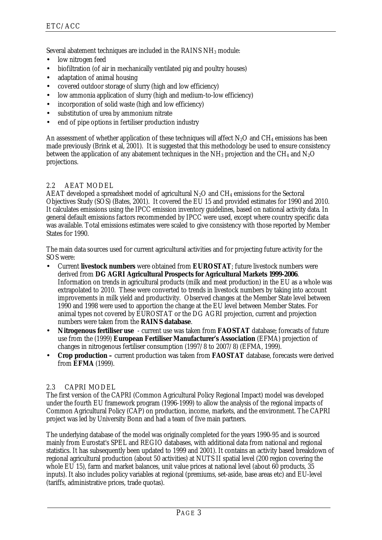<span id="page-5-0"></span>Several abatement techniques are included in the RAINS NH3 module:

- low nitrogen feed
- biofiltration (of air in mechanically ventilated pig and poultry houses)
- adaptation of animal housing
- covered outdoor storage of slurry (high and low efficiency)
- low ammonia application of slurry (high and medium-to-low efficiency)
- incorporation of solid waste (high and low efficiency)
- substitution of urea by ammonium nitrate
- end of pipe options in fertiliser production industry

An assessment of whether application of these techniques will affect  $N_2O$  and CH<sub>4</sub> emissions has been made previously (Brink et al, 2001). It is suggested that this methodology be used to ensure consistency between the application of any abatement techniques in the  $NH<sub>3</sub>$  projection and the CH<sub>4</sub> and N<sub>2</sub>O projections.

#### 2.2 AEAT MODEL

AEAT developed a spreadsheet model of agricultural  $N_2O$  and  $CH_4$  emissions for the Sectoral Objectives Study (SOS) (Bates, 2001). It covered the EU 15 and provided estimates for 1990 and 2010. It calculates emissions using the IPCC emission inventory guidelines, based on national activity data. In general default emissions factors recommended by IPCC were used, except where country specific data was available. Total emissions estimates were scaled to give consistency with those reported by Member States for 1990.

The main data sources used for current agricultural activities and for projecting future activity for the SOS were:

- Current **livestock numbers** were obtained from **EUROSTAT**; future livestock numbers were derived from **DG AGRI Agricultural Prospects for Agricultural Markets 1999-2006**. Information on trends in agricultural products (milk and meat production) in the EU as a whole was extrapolated to 2010. These were converted to trends in livestock numbers by taking into account improvements in milk yield and productivity. Observed changes at the Member State level between 1990 and 1998 were used to apportion the change at the EU level between Member States. For animal types not covered by EUROSTAT or the DG AGRI projection, current and projection numbers were taken from the **RAINS database**.
- **Nitrogenous fertiliser use** current use was taken from **FAOSTAT** database; forecasts of future use from the (1999) **European Fertiliser Manufacturer's Association** (EFMA) projection of changes in nitrogenous fertiliser consumption (1997/8 to 2007/8) (EFMA, 1999).
- **Crop production** current production was taken from **FAOSTAT** database, forecasts were derived from **EFMA** (1999).

#### 2.3 CAPRI MODEL

The first version of the CAPRI (Common Agricultural Policy Regional Impact) model was developed under the fourth EU framework program (1996-1999) to allow the analysis of the regional impacts of Common Agricultural Policy (CAP) on production, income, markets, and the environment. The CAPRI project was led by University Bonn and had a team of five main partners.

The underlying database of the model was originally completed for the years 1990-95 and is sourced mainly from Eurostat's SPEL and REGIO databases, with additional data from national and regional statistics. It has subsequently been updated to 1999 and 2001). It contains an activity based breakdown of regional agricultural production (about 50 activities) at NUTS II spatial level (200 region covering the whole EU 15), farm and market balances, unit value prices at national level (about 60 products, 35 inputs). It also includes policy variables at regional (premiums, set-aside, base areas etc) and EU-level (tariffs, administrative prices, trade quotas).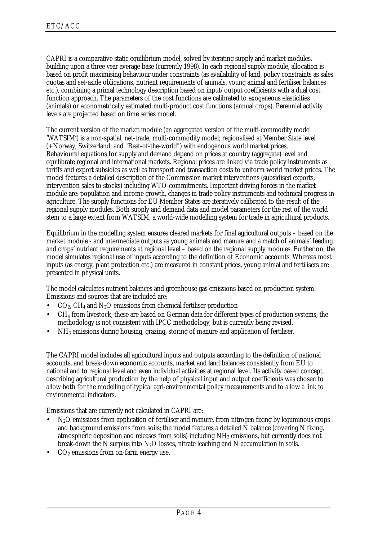CAPRI is a comparative static equilibrium model, solved by iterating supply and market modules, building upon a three year average base (currently 1998). In each regional supply module, allocation is based on profit maximising behaviour under constraints (as availability of land, policy constraints as sales quotas and set-aside obligations, nutrient requirements of animals, young animal and fertiliser balances etc.), combining a primal technology description based on input/output coefficients with a dual cost function approach. The parameters of the cost functions are calibrated to exogeneous elasticities (animals) or econometrically estimated multi-product cost functions (annual crops). Perennial activity levels are projected based on time series model.

The current version of the market module (an aggregated version of the multi-commodity model 'WATSIM') is a non-spatial, net-trade, multi-commodity model; regionalised at Member State level (+Norway, Switzerland, and "Rest-of-the-world") with endogenous world market prices. Behavioural equations for supply and demand depend on prices at country (aggregate) level and equilibrate regional and international markets. Regional prices are linked via trade policy instruments as tariffs and export subsidies as well as transport and transaction costs to uniform world market prices. The model features a detailed description of the Commission market interventions (subsidised exports, intervention sales to stocks) including WTO commitments. Important driving forces in the market module are: population and income growth, changes in trade policy instruments and technical progress in agriculture. The supply functions for EU Member States are iteratively calibrated to the result of the regional supply modules. Both supply and demand data and model parameters for the rest of the world stem to a large extent from WATSIM, a world-wide modelling system for trade in agricultural products.

Equilibrium in the modelling system ensures cleared markets for final agricultural outputs – based on the market module - and intermediate outputs as young animals and manure and a match of animals' feeding and crops' nutrient requirements at regional level – based on the regional supply modules. Further on, the model simulates regional use of inputs according to the definition of Economic accounts. Whereas most inputs (as energy, plant protection etc.) are measured in constant prices, young animal and fertilisers are presented in physical units.

The model calculates nutrient balances and greenhouse gas emissions based on production system. Emissions and sources that are included are:

- $CO<sub>2</sub>$ , CH<sub>4</sub> and N<sub>2</sub>O emissions from chemical fertiliser production
- CH4 from livestock; these are based on German data for different types of production systems; the methodology is not consistent with IPCC methodology, but is currently being revised.
- NH3 emissions during housing, grazing, storing of manure and application of fertiliser.

The CAPRI model includes all agricultural inputs and outputs according to the definition of national accounts, and break-down economic accounts, market and land balances consistently from EU to national and to regional level and even individual activities at regional level. Its activity based concept, describing agricultural production by the help of physical input and output coefficients was chosen to allow both for the modelling of typical agri-environmental policy measurements and to allow a link to environmental indicators.

Emissions that are currently not calculated in CAPRI are:

- N<sub>2</sub>O emissions from application of fertiliser and manure, from nitrogen fixing by leguminous crops and background emissions from soils; the model features a detailed N balance (covering N fixing, atmospheric deposition and releases from soils) including NH3 emissions, but currently does not break-down the N surplus into  $N_2O$  losses, nitrate leaching and N accumulation in soils.
- $CO<sub>2</sub>$  emissions from on-farm energy use.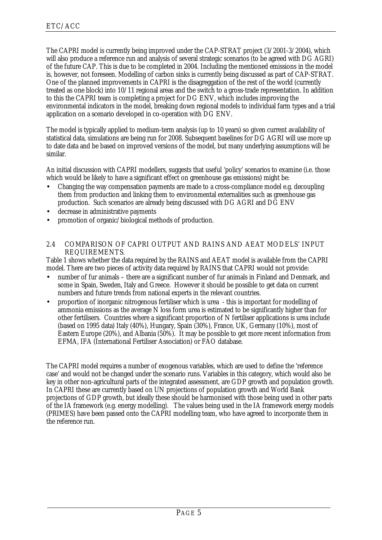<span id="page-7-0"></span>The CAPRI model is currently being improved under the CAP-STRAT project (3/2001-3/2004), which will also produce a reference run and analysis of several strategic scenarios (to be agreed with DG AGRI) of the future CAP. This is due to be completed in 2004. Including the mentioned emissions in the model is, however, not foreseen. Modelling of carbon sinks is currently being discussed as part of CAP-STRAT. One of the planned improvements in CAPRI is the disagreggation of the rest of the world (currently treated as one block) into 10/11 regional areas and the switch to a gross-trade representation. In addition to this the CAPRI team is completing a project for DG ENV, which includes improving the environmental indicators in the model, breaking down regional models to individual farm types and a trial application on a scenario developed in co-operation with DG ENV.

The model is typically applied to medium-term analysis (up to 10 years) so given current availability of statistical data, simulations are being run for 2008. Subsequent baselines for DG AGRI will use more up to date data and be based on improved versions of the model, but many underlying assumptions will be similar.

An initial discussion with CAPRI modellers, suggests that useful 'policy' scenarios to examine (i.e. those which would be likely to have a significant effect on greenhouse gas emissions) might be:

- Changing the way compensation payments are made to a cross-compliance model e.g. decoupling them from production and linking them to environmental externalities such as greenhouse gas production. Such scenarios are already being discussed with DG AGRI and DG ENV
- decrease in administrative payments
- promotion of organic/biological methods of production.

#### 2.4 COMPARISON OF CAPRI OUTPUT AND RAINS AND AEAT MODELS' INPUT REQUIREMENTS.

Table 1 shows whether the data required by the RAINS and AEAT model is available from the CAPRI model. There are two pieces of activity data required by RAINS that CAPRI would not provide:

- number of fur animals there are a significant number of fur animals in Finland and Denmark, and some in Spain, Sweden, Italy and Greece. However it should be possible to get data on current numbers and future trends from national experts in the relevant countries.
- proportion of inorganic nitrogenous fertiliser which is urea this is important for modelling of ammonia emissions as the average N loss form urea is estimated to be significantly higher than for other fertilisers. Countries where a significant proportion of N fertiliser applications is urea include (based on 1995 data) Italy (40%), Hungary, Spain (30%), France, UK, Germany (10%), most of Eastern Europe (20%), and Albania (50%). It may be possible to get more recent information from EFMA, IFA (International Fertiliser Association) or FAO database.

The CAPRI model requires a number of exogenous variables, which are used to define the 'reference case' and would not be changed under the scenario runs. Variables in this category, which would also be key in other non-agricultural parts of the integrated assessment, are GDP growth and population growth. In CAPRI these are currently based on UN projections of population growth and World Bank projections of GDP growth, but ideally these should be harmonised with those being used in other parts of the IA framework (e.g. energy modelling). The values being used in the IA framework energy models (PRIMES) have been passed onto the CAPRI modelling team, who have agreed to incorporate them in the reference run.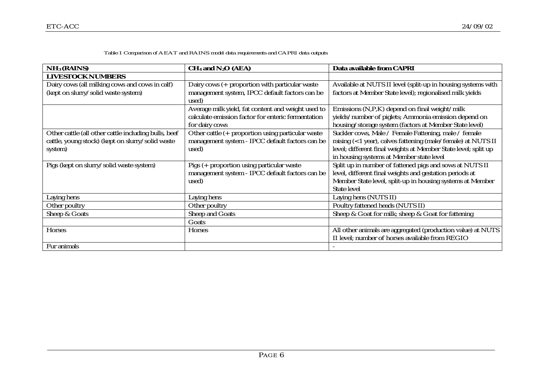| Table 1 Comparison of AEAT and RAINS model data requirements and CAPRI data outputs |  |
|-------------------------------------------------------------------------------------|--|
|-------------------------------------------------------------------------------------|--|

| $NH3$ (RAINS)                                        | $CH4$ and $N2O$ (AEA)                              | Data available from CAPRI                                      |
|------------------------------------------------------|----------------------------------------------------|----------------------------------------------------------------|
| <b>LIVESTOCK NUMBERS</b>                             |                                                    |                                                                |
| Dairy cows (all milking cows and cows in calf)       | Dairy cows (+ proportion with particular waste     | Available at NUTS II level (split-up in housing systems with   |
| (kept on slurry/solid waste system)                  | management system, IPCC default factors can be     | factors at Member State level); regionalised milk yields       |
|                                                      | used)                                              |                                                                |
|                                                      | Average milk yield, fat content and weight used to | Emissions (N,P,K) depend on final weight/milk                  |
|                                                      | calculate emission factor for enteric fermentation | yields/number of piglets; Ammonia emission depend on           |
|                                                      | for dairy cows                                     | housing/storage system (factors at Member State level)         |
| Other cattle (all other cattle including bulls, beef | Other cattle (+ proportion using particular waste  | Suckler cows, Male / Female Fattening, male / female           |
| cattle, young stock) (kept on slurry/solid waste     | management system - IPCC default factors can be    | raising (<1 year), calves fattening (male/female) at NUTS II   |
| system)                                              | used)                                              | level; different final weights at Member State level; split up |
|                                                      |                                                    | in housing systems at Member state level                       |
| Pigs (kept on slurry/solid waste system)             | Pigs (+ proportion using particular waste          | Split up in number of fattened pigs and sows at NUTS II        |
|                                                      | management system - IPCC default factors can be    | level, different final weights and gestation periods at        |
|                                                      | used)                                              | Member State level, split-up in housing systems at Member      |
|                                                      |                                                    | <b>State level</b>                                             |
| Laying hens                                          | Laying hens                                        | Laying hens (NUTS II)                                          |
| Other poultry                                        | Other poultry                                      | Poultry fattened heads (NUTS II)                               |
| Sheep & Goats                                        | Sheep and Goats                                    | Sheep & Goat for milk; sheep & Goat for fattening              |
|                                                      | Goats                                              |                                                                |
| <b>Horses</b>                                        | <b>Horses</b>                                      | All other animals are aggregated (production value) at NUTS    |
|                                                      |                                                    | II level; number of horses available from REGIO                |
| Fur animals                                          |                                                    |                                                                |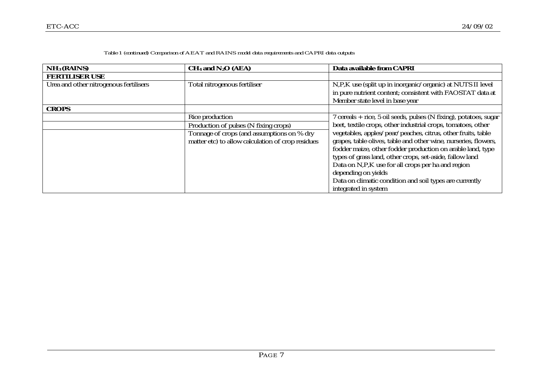|                                 | Tadie i (continueu) Comparison of AEAT and KAIINS model data requirements and CAPKI data outputs |                                  |                           |  |  |  |  |  |
|---------------------------------|--------------------------------------------------------------------------------------------------|----------------------------------|---------------------------|--|--|--|--|--|
| $\vert$ NH <sub>3</sub> (RAINS) |                                                                                                  | $CH4$ and N <sub>2</sub> O (AEA) | Data available from CAPRI |  |  |  |  |  |
| FERTILISER LISE                 |                                                                                                  |                                  |                           |  |  |  |  |  |

#### *Table 1 (continued) Comparison of AEAT and RAINS model data requirements and CAPRI data outputs*

| FERTILISER USE                         |                                                   |                                                                   |
|----------------------------------------|---------------------------------------------------|-------------------------------------------------------------------|
| Urea and other nitrogenous fertilisers | Total nitrogenous fertiliser                      | N,P,K use (split up in inorganic/organic) at NUTS II level        |
|                                        |                                                   | in pure nutrient content; consistent with FAOSTAT data at         |
|                                        |                                                   | Member state level in base year                                   |
| <b>CROPS</b>                           |                                                   |                                                                   |
|                                        | Rice production                                   | 7 cereals + rice, 5 oil seeds, pulses (N fixing), potatoes, sugar |
|                                        | Production of pulses (N fixing crops)             | beet, textile crops, other industrial crops, tomatoes, other      |
|                                        | Tonnage of crops (and assumptions on % dry        | vegetables, apples/pear/peaches, citrus, other fruits, table      |
|                                        | matter etc) to allow calculation of crop residues | grapes, table olives, table and other wine, nurseries, flowers,   |
|                                        |                                                   | fodder maize, other fodder production on arable land, type        |
|                                        |                                                   | types of grass land, other crops, set-aside, fallow land          |
|                                        |                                                   | Data on N,P,K use for all crops per ha and region                 |
|                                        |                                                   | depending on yields                                               |
|                                        |                                                   | Data on climatic condition and soil types are currently           |
|                                        |                                                   | integrated in system                                              |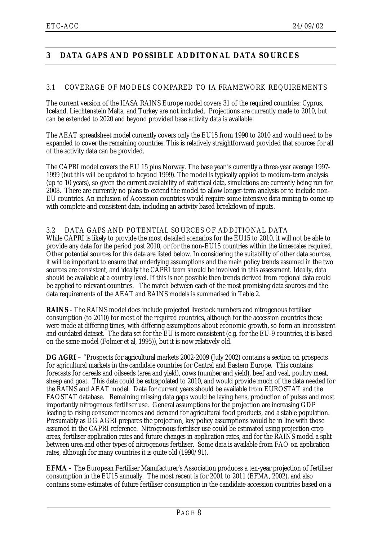# <span id="page-10-0"></span>**3 DATA GAPS AND POSSIBLE ADDITONAL DATA SOURCES**

#### 3.1 COVERAGE OF MODELS COMPARED TO IA FRAMEWORK REQUIREMENTS

The current version of the IIASA RAINS Europe model covers 31 of the required countries: Cyprus, Iceland, Liechtenstein Malta, and Turkey are not included. Projections are currently made to 2010, but can be extended to 2020 and beyond provided base activity data is available.

The AEAT spreadsheet model currently covers only the EU15 from 1990 to 2010 and would need to be expanded to cover the remaining countries. This is relatively straightforward provided that sources for all of the activity data can be provided.

The CAPRI model covers the EU 15 plus Norway. The base year is currently a three-year average 1997- 1999 (but this will be updated to beyond 1999). The model is typically applied to medium-term analysis (up to 10 years), so given the current availability of statistical data, simulations are currently being run for 2008. There are currently no plans to extend the model to allow longer-term analysis or to include non-EU countries. An inclusion of Accession countries would require some intensive data mining to come up with complete and consistent data, including an activity based breakdown of inputs.

#### 3.2 DATA GAPS AND POTENTIAL SOURCES OF ADDITIONAL DATA

While CAPRI is likely to provide the most detailed scenarios for the EU15 to 2010, it will not be able to provide any data for the period post 2010, or for the non-EU15 countries within the timescales required. Other potential sources for this data are listed below. In considering the suitability of other data sources, it will be important to ensure that underlying assumptions and the main policy trends assumed in the two sources are consistent, and ideally the CAPRI team should be involved in this assessment. Ideally, data should be available at a country level. If this is not possible then trends derived from regional data could be applied to relevant countries. The match between each of the most promising data sources and the data requirements of the AEAT and RAINS models is summarised in Table 2.

**RAINS** - The RAINS model does include projected livestock numbers and nitrogenous fertiliser consumption (to 2010) for most of the required countries, although for the accession countries these were made at differing times, with differing assumptions about economic growth, so form an inconsistent and outdated dataset. The data set for the EU is more consistent (e.g. for the EU-9 countries, it is based on the same model (Folmer et al, 1995)), but it is now relatively old.

**DG AGRI** – "Prospects for agricultural markets 2002-2009 (July 2002) contains a section on prospects for agricultural markets in the candidate countries for Central and Eastern Europe. This contains forecasts for cereals and oilseeds (area and yield), cows (number and yield), beef and veal, poultry meat, sheep and goat. This data could be extrapolated to 2010, and would provide much of the data needed for the RAINS and AEAT model. Data for current years should be available from EUROSTAT and the FAOSTAT database. Remaining missing data gaps would be laying hens, production of pulses and most importantly nitrogenous fertiliser use. General assumptions for the projection are increasing GDP leading to rising consumer incomes and demand for agricultural food products, and a stable population. Presumably as DG AGRI prepares the projection, key policy assumptions would be in line with those assumed in the CAPRI reference. Nitrogenous fertiliser use could be estimated using projection crop areas, fertiliser application rates and future changes in application rates, and for the RAINS model a split between urea and other types of nitrogenous fertiliser. Some data is available from FAO on application rates, although for many countries it is quite old (1990/91).

**EFMA –** The European Fertiliser Manufacturer's Association produces a ten-year projection of fertiliser consumption in the EU15 annually. The most recent is for 2001 to 2011 (EFMA, 2002), and also contains some estimates of future fertiliser consumption in the candidate accession countries based on a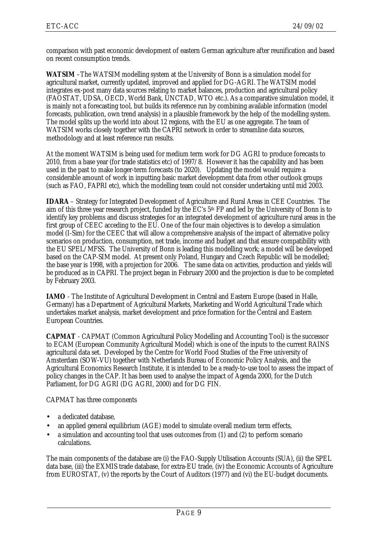comparison with past economic development of eastern German agriculture after reunification and based on recent consumption trends.

**WATSIM** –The WATSIM modelling system at the University of Bonn is a simulation model for agricultural market, currently updated, improved and applied for DG-AGRI. The WATSIM model integrates ex-post many data sources relating to market balances, production and agricultural policy (FAOSTAT, UDSA, OECD, World Bank, UNCTAD, WTO etc.). As a comparative simulation model, it is mainly not a forecasting tool, but builds its reference run by combining available information (model forecasts, publication, own trend analysis) in a plausible framework by the help of the modelling system. The model splits up the world into about 12 regions, with the EU as one aggregate. The team of WATSIM works closely together with the CAPRI network in order to streamline data sources, methodology and at least reference run results.

At the moment WATSIM is being used for medium term work for DG AGRI to produce forecasts to 2010, from a base year (for trade statistics etc) of 1997/8. However it has the capability and has been used in the past to make longer-term forecasts (to 2020). Updating the model would require a considerable amount of work in inputting basic market development data from other outlook groups (such as FAO, FAPRI etc), which the modelling team could not consider undertaking until mid 2003.

**IDARA** – Strategy for Integrated Development of Agriculture and Rural Areas in CEE Countries.The aim of this three year research project, funded by the EC's 5th FP and led by the University of Bonn is to identify key problems and discuss strategies for an integrated development of agriculture rural areas in the first group of CEEC acceding to the EU. One of the four main objectives is to develop a simulation model (I-Sim) for the CEEC that will allow a comprehensive analysis of the impact of alternative policy scenarios on production, consumption, net trade, income and budget and that ensure compatibility with the EU SPEL/MFSS. The University of Bonn is leading this modelling work; a model will be developed based on the CAP-SIM model. At present only Poland, Hungary and Czech Republic will be modelled; the base year is 1998, with a projection for 2006. The same data on activities, production and yields will be produced as in CAPRI. The project began in February 2000 and the projection is due to be completed by February 2003.

**IAMO** - The Institute of Agricultural Development in Central and Eastern Europe (based in Halle, Germany) has a Department of Agricultural Markets, Marketing and World Agricultural Trade which undertakes market analysis, market development and price formation for the Central and Eastern European Countries.

**CAPMAT** - CAPMAT (Common Agricultural Policy Modelling and Accounting Tool) is the successor to ECAM (European Community Agricultural Model) which is one of the inputs to the current RAINS agricultural data set. Developed by the Centre for World Food Studies of the Free university of Amsterdam (SOW-VU) together with Netherlands Bureau of Economic Policy Analysis, and the Agricultural Economics Research Institute, it is intended to be a ready-to-use tool to assess the impact of policy changes in the CAP. It has been used to analyse the impact of Agenda 2000, for the Dutch Parliament, for DG AGRI (DG AGRI, 2000) and for DG FIN.

CAPMAT has three components

- a dedicated database,
- an applied general equilibrium (AGE) model to simulate overall medium term effects,
- a simulation and accounting tool that uses outcomes from (1) and (2) to perform scenario calculations.

The main components of the database are (i) the FAO-Supply Utilisation Accounts (SUA), (ii) the SPEL data base, (iii) the EXMIS trade database, for extra-EU trade, (iv) the Economic Accounts of Agriculture from EUROSTAT, (v) the reports by the Court of Auditors (1977) and (vi) the EU-budget documents.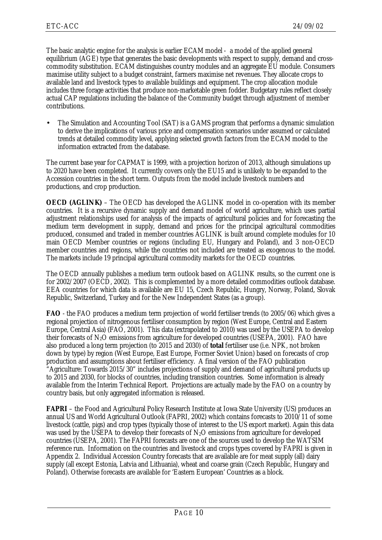The basic analytic engine for the analysis is earlier ECAM model - a model of the applied general equilibrium (AGE) type that generates the basic developments with respect to supply, demand and crosscommodity substitution. ECAM distinguishes country modules and an aggregate EU module. Consumers maximise utility subject to a budget constraint, farmers maximise net revenues. They allocate crops to available land and livestock types to available buildings and equipment. The crop allocation module includes three forage activities that produce non-marketable green fodder. Budgetary rules reflect closely actual CAP regulations including the balance of the Community budget through adjustment of member contributions.

• The Simulation and Accounting Tool (SAT) is a GAMS program that performs a dynamic simulation to derive the implications of various price and compensation scenarios under assumed or calculated trends at detailed commodity level, applying selected growth factors from the ECAM model to the information extracted from the database.

The current base year for CAPMAT is 1999, with a projection horizon of 2013, although simulations up to 2020 have been completed. It currently covers only the EU15 and is unlikely to be expanded to the Accession countries in the short term. Outputs from the model include livestock numbers and productions, and crop production.

**OECD (AGLINK)** – The OECD has developed the AGLINK model in co-operation with its member countries. It is a recursive dynamic supply and demand model of world agriculture, which uses partial adjustment relationships used for analysis of the impacts of agricultural policies and for forecasting the medium term development in supply, demand and prices for the principal agricultural commodities produced, consumed and traded in member countries AGLINK is built around complete modules for 10 main OECD Member countries or regions (including EU, Hungary and Poland), and 3 non-OECD member countries and regions, while the countries not included are treated as exogenous to the model. The markets include 19 principal agricultural commodity markets for the OECD countries.

The OECD annually publishes a medium term outlook based on AGLINK results, so the current one is for 2002/2007 (OECD, 2002). This is complemented by a more detailed commodities outlook database. EEA countries for which data is available are EU 15, Czech Republic, Hungry, Norway, Poland, Slovak Republic, Switzerland, Turkey and for the New Independent States (as a group).

**FAO** - the FAO produces a medium term projection of world fertiliser trends (to 2005/06) which gives a regional projection of nitrogenous fertiliser consumption by region (West Europe, Central and Eastern Europe, Central Asia) (FAO, 2001). This data (extrapolated to 2010) was used by the USEPA to develop their forecasts of  $N_2O$  emissions from agriculture for developed countries (USEPA, 2001). FAO have also produced a long term projection (to 2015 and 2030) of **total** fertiliser use (i.e. NPK, not broken down by type) by region (West Europe, East Europe, Former Soviet Union) based on forecasts of crop production and assumptions about fertiliser efficiency. A final version of the FAO publication "Agriculture: Towards 2015/30" includes projections of supply and demand of agricultural products up to 2015 and 2030, for blocks of countries, including transition countries. Some information is already available from the Interim Technical Report. Projections are actually made by the FAO on a country by country basis, but only aggregated information is released.

**FAPRI** – the Food and Agricultural Policy Research Institute at Iowa State University (US) produces an annual US and World Agricultural Outlook (FAPRI, 2002) which contains forecasts to 2010/11 of some livestock (cattle, pigs) and crop types (typically those of interest to the US export market). Again this data was used by the USEPA to develop their forecasts of  $N_2O$  emissions from agriculture for developed countries (USEPA, 2001). The FAPRI forecasts are one of the sources used to develop the WATSIM reference run. Information on the countries and livestock and crops types covered by FAPRI is given in Appendix 2. Individual Accession Country forecasts that are available are for meat supply (all) dairy supply (all except Estonia, Latvia and Lithuania), wheat and coarse grain (Czech Republic, Hungary and Poland). Otherwise forecasts are available for 'Eastern European' Countries as a block.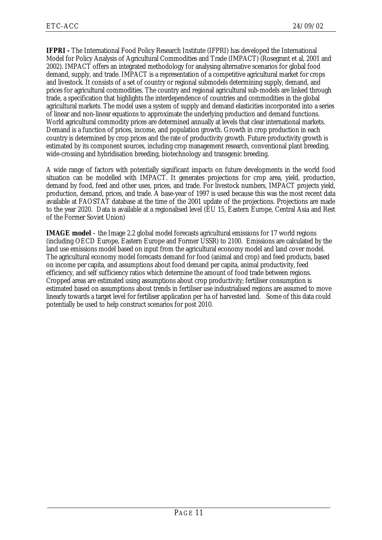**IFPRI -** The International Food Policy Research Institute (IFPRI) has developed the International Model for Policy Analysis of Agricultural Commodities and Trade (IMPACT) (Rosegrant et al, 2001 and 2002). IMPACT offers an integrated methodology for analysing alternative scenarios for global food demand, supply, and trade. IMPACT is a representation of a competitive agricultural market for crops and livestock. It consists of a set of country or regional submodels determining supply, demand, and prices for agricultural commodities. The country and regional agricultural sub-models are linked through trade, a specification that highlights the interdependence of countries and commodities in the global agricultural markets. The model uses a system of supply and demand elasticities incorporated into a series of linear and non-linear equations to approximate the underlying production and demand functions. World agricultural commodity prices are determined annually at levels that clear international markets. Demand is a function of prices, income, and population growth. Growth in crop production in each country is determined by crop prices and the rate of productivity growth. Future productivity growth is estimated by its component sources, including crop management research, conventional plant breeding, wide-crossing and hybridisation breeding, biotechnology and transgenic breeding.

A wide range of factors with potentially significant impacts on future developments in the world food situation can be modelled with IMPACT. It generates projections for crop area, yield, production, demand by food, feed and other uses, prices, and trade. For livestock numbers, IMPACT projects yield, production, demand, prices, and trade. A base-year of 1997 is used because this was the most recent data available at FAOSTAT database at the time of the 2001 update of the projections. Projections are made to the year 2020. Data is available at a regionalised level (EU 15, Eastern Europe, Central Asia and Rest of the Former Soviet Union)

**IMAGE model** – the Image 2.2 global model forecasts agricultural emissions for 17 world regions (including OECD Europe, Eastern Europe and Former USSR) to 2100. Emissions are calculated by the land use emissions model based on input from the agricultural economy model and land cover model. The agricultural economy model forecasts demand for food (animal and crop) and feed products, based on income per capita, and assumptions about food demand per capita, animal productivity, feed efficiency, and self sufficiency ratios which determine the amount of food trade between regions. Cropped areas are estimated using assumptions about crop productivity; fertiliser consumption is estimated based on assumptions about trends in fertiliser use industrialised regions are assumed to move linearly towards a target level for fertiliser application per ha of harvested land. Some of this data could potentially be used to help construct scenarios for post 2010.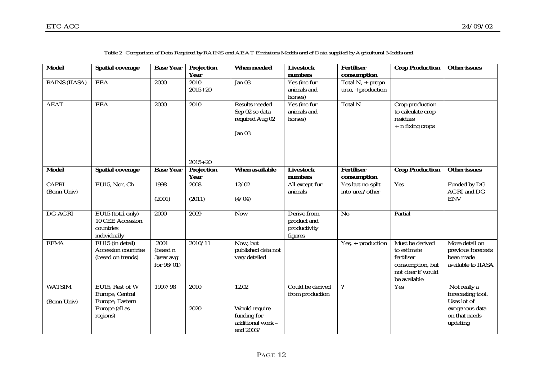| <b>Model</b>                 | <b>Spatial coverage</b>                                                             | <b>Base Year</b>                               | <b>Projection</b><br>Year        | <b>When needed</b>                                                      | <b>Livestock</b><br>numbers                           | <b>Fertiliser</b><br>consumption       | <b>Crop Production</b>                                                                                 | <b>Other issues</b>                                                                             |
|------------------------------|-------------------------------------------------------------------------------------|------------------------------------------------|----------------------------------|-------------------------------------------------------------------------|-------------------------------------------------------|----------------------------------------|--------------------------------------------------------------------------------------------------------|-------------------------------------------------------------------------------------------------|
| <b>RAINS (IIASA)</b>         | <b>EEA</b>                                                                          | 2000                                           | 2010<br>$2015 + 20$              | Jan $03$                                                                | Yes (inc fur<br>animals and<br>horses)                | Total $N_+$ propn<br>urea, +production |                                                                                                        |                                                                                                 |
| <b>AEAT</b>                  | <b>EEA</b>                                                                          | 2000                                           | 2010                             | <b>Results needed</b><br>Sep 02 so data<br>required Aug 02<br>Jan 03    | Yes (inc fur<br>animals and<br>horses)                | Total N                                | Crop production<br>to calculate crop<br>residues<br>$+$ n fixing crops                                 |                                                                                                 |
| <b>Model</b>                 | <b>Spatial coverage</b>                                                             | <b>Base Year</b>                               | $2015 + 20$<br><b>Projection</b> | <b>When available</b>                                                   | <b>Livestock</b>                                      | <b>Fertiliser</b>                      | <b>Crop Production</b>                                                                                 | <b>Other issues</b>                                                                             |
|                              |                                                                                     |                                                | <b>Year</b>                      |                                                                         | numbers                                               | consumption                            |                                                                                                        |                                                                                                 |
| <b>CAPRI</b><br>(Bonn Univ)  | EU15, Nor, Ch                                                                       | 1998<br>(2001)                                 | 2008<br>(2011)                   | 12/02<br>(4/04)                                                         | All except fur<br>animals                             | Yes but no split<br>into urea/other    | Yes                                                                                                    | Funded by DG<br><b>AGRI</b> and DG<br><b>ENV</b>                                                |
| <b>DG AGRI</b>               | EU15 (total only)<br>10 CEE Accession<br>countries<br>individually                  | 2000                                           | 2009                             | <b>Now</b>                                                              | Derive from<br>product and<br>productivity<br>figures | N <sub>o</sub>                         | Partial                                                                                                |                                                                                                 |
| <b>EFMA</b>                  | EU15 (in detail)<br><b>Accession countries</b><br>(based on trends)                 | 2001<br>(based n<br>3year avg<br>for $98/01$ ) | 2010/11                          | Now, but<br>published data not<br>very detailed                         |                                                       | $Yes. + production$                    | Must be derived<br>to estimate<br>fertiliser<br>consumption, but<br>not clear if would<br>be available | More detail on<br>previous forecasts<br>been made<br>available to IIASA                         |
| <b>WATSIM</b><br>(Bonn Univ) | EU15, Rest of W<br>Europe, Central<br>Europe, Eastern<br>Europe (all as<br>regions) | 1997/98                                        | 2010<br>2020                     | 12.02<br>Would require<br>funding for<br>additional work -<br>end 2003? | Could be derived<br>from production                   | $\overline{\mathcal{E}}$               | Yes                                                                                                    | Not really a<br>forecasting tool.<br>Uses lot of<br>exogenous data<br>on that needs<br>updating |

*Table 2 Comparison of Data Required by RAINS and AEAT Emissions Models and of Data supplied by Agricultural Models and*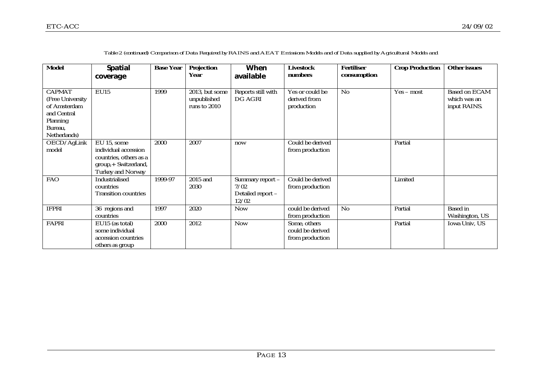| <b>Model</b>                                                                                            | <b>Spatial</b><br>coverage                                                                                 | <b>Base Year</b> | <b>Projection</b><br>Year                     | When<br>available                                      | <b>Livestock</b><br>numbers                         | <b>Fertiliser</b><br>consumption | <b>Crop Production</b> | <b>Other issues</b>                                  |
|---------------------------------------------------------------------------------------------------------|------------------------------------------------------------------------------------------------------------|------------------|-----------------------------------------------|--------------------------------------------------------|-----------------------------------------------------|----------------------------------|------------------------|------------------------------------------------------|
| <b>CAPMAT</b><br>(Free University<br>of Amsterdam<br>and Central<br>Planning<br>Bureau,<br>Netherlands) | <b>EU15</b>                                                                                                | 1999             | 2013, but some<br>unpublished<br>runs to 2010 | Reports still with<br>DG AGRI                          | Yes or could be<br>derived from<br>production       | N <sub>0</sub>                   | $Yes - most$           | <b>Based on ECAM</b><br>which was an<br>input RAINS. |
| OECD/AgLink<br>model                                                                                    | EU 15, some<br>individual accession<br>countries, others as a<br>group,+ Switzerland,<br>Turkey and Norway | 2000             | 2007                                          | now                                                    | Could be derived<br>from production                 |                                  | Partial                |                                                      |
| <b>FAO</b>                                                                                              | Industrialised<br>countries<br><b>Transition countries</b>                                                 | 1999-97          | 2015 and<br>2030                              | Summary report -<br>7/02<br>Detailed report -<br>12/02 | Could be derived<br>from production                 |                                  | Limited                |                                                      |
| <b>IFPRI</b>                                                                                            | 36 regions and<br>countries                                                                                | 1997             | 2020                                          | <b>Now</b>                                             | could be derived<br>from production                 | $\overline{No}$                  | Partial                | <b>Based</b> in<br>Washington, US                    |
| FAPRI                                                                                                   | EU15 (as total)<br>some individual<br>accession countries<br>others as group                               | 2000             | 2012                                          | <b>Now</b>                                             | Some, others<br>could be derived<br>from production |                                  | Partial                | Iowa Univ, US                                        |

*Table 2 (continued) Comparison of Data Required by RAINS and AEAT Emissions Models and of Data supplied by Agricultural Models and*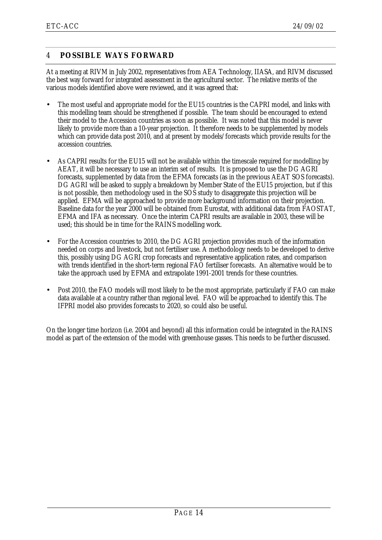# <span id="page-16-0"></span>4 **POSSIBLE WAYS FORWARD**

At a meeting at RIVM in July 2002, representatives from AEA Technology, IIASA, and RIVM discussed the best way forward for integrated assessment in the agricultural sector. The relative merits of the various models identified above were reviewed, and it was agreed that:

- The most useful and appropriate model for the EU15 countries is the CAPRI model, and links with this modelling team should be strengthened if possible. The team should be encouraged to extend their model to the Accession countries as soon as possible. It was noted that this model is never likely to provide more than a 10-year projection. It therefore needs to be supplemented by models which can provide data post 2010, and at present by models/forecasts which provide results for the accession countries.
- As CAPRI results for the EU15 will not be available within the timescale required for modelling by AEAT, it will be necessary to use an interim set of results. It is proposed to use the DG AGRI forecasts, supplemented by data from the EFMA forecasts (as in the previous AEAT SOS forecasts). DG AGRI will be asked to supply a breakdown by Member State of the EU15 projection, but if this is not possible, then methodology used in the SOS study to disaggregate this projection will be applied. EFMA will be approached to provide more background information on their projection. Baseline data for the year 2000 will be obtained from Eurostat, with additional data from FAOSTAT, EFMA and IFA as necessary. Once the interim CAPRI results are available in 2003, these will be used; this should be in time for the RAINS modelling work.
- For the Accession countries to 2010, the DG AGRI projection provides much of the information needed on corps and livestock, but not fertiliser use. A methodology needs to be developed to derive this, possibly using DG AGRI crop forecasts and representative application rates, and comparison with trends identified in the short-term regional FAO fertiliser forecasts. An alternative would be to take the approach used by EFMA and extrapolate 1991-2001 trends for these countries.
- Post 2010, the FAO models will most likely to be the most appropriate, particularly if FAO can make data available at a country rather than regional level. FAO will be approached to identify this. The IFPRI model also provides forecasts to 2020, so could also be useful.

On the longer time horizon (i.e. 2004 and beyond) all this information could be integrated in the RAINS model as part of the extension of the model with greenhouse gasses. This needs to be further discussed.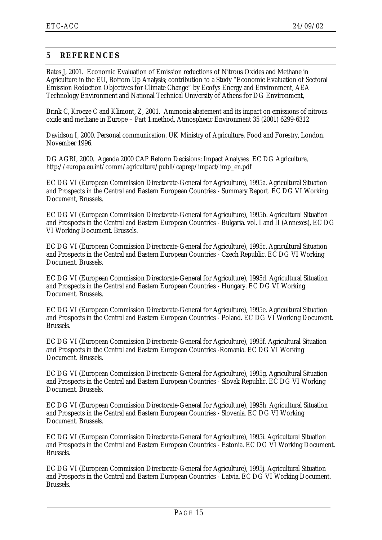### <span id="page-17-0"></span>**5 REFERENCES**

Bates J, 2001. Economic Evaluation of Emission reductions of Nitrous Oxides and Methane in Agriculture in the EU, Bottom Up Analysis; contribution to a Study "Economic Evaluation of Sectoral Emission Reduction Objectives for Climate Change" by Ecofys Energy and Environment, AEA Technology Environment and National Technical University of Athens for DG Environment,

Brink C, Kroeze C and Klimont, Z, 2001. Ammonia abatement and its impact on emissions of nitrous oxide and methane in Europe – Part 1:method, Atmospheric Environment 35 (2001) 6299-6312

Davidson I, 2000. Personal communication. UK Ministry of Agriculture, Food and Forestry, London. November 1996.

DG AGRI, 2000. Agenda 2000 CAP Reform Decisions: Impact Analyses EC DG Agriculture, http://europa.eu.int/comm/agriculture/publi/caprep/impact/imp\_en.pdf

EC DG VI (European Commission Directorate-General for Agriculture), 1995a. Agricultural Situation and Prospects in the Central and Eastern European Countries - Summary Report. EC DG VI Working Document, Brussels.

EC DG VI (European Commission Directorate-General for Agriculture), 1995b. Agricultural Situation and Prospects in the Central and Eastern European Countries - Bulgaria. vol. I and II (Annexes), EC DG VI Working Document. Brussels.

EC DG VI (European Commission Directorate-General for Agriculture), 1995c. Agricultural Situation and Prospects in the Central and Eastern European Countries - Czech Republic. EC DG VI Working Document. Brussels.

EC DG VI (European Commission Directorate-General for Agriculture), 1995d. Agricultural Situation and Prospects in the Central and Eastern European Countries - Hungary. EC DG VI Working Document. Brussels.

EC DG VI (European Commission Directorate-General for Agriculture), 1995e. Agricultural Situation and Prospects in the Central and Eastern European Countries - Poland. EC DG VI Working Document. Brussels.

EC DG VI (European Commission Directorate-General for Agriculture), 1995f. Agricultural Situation and Prospects in the Central and Eastern European Countries -Romania. EC DG VI Working Document. Brussels.

EC DG VI (European Commission Directorate-General for Agriculture), 1995g. Agricultural Situation and Prospects in the Central and Eastern European Countries - Slovak Republic. EC DG VI Working Document. Brussels.

EC DG VI (European Commission Directorate-General for Agriculture), 1995h. Agricultural Situation and Prospects in the Central and Eastern European Countries - Slovenia. EC DG VI Working Document. Brussels.

EC DG VI (European Commission Directorate-General for Agriculture), 1995i. Agricultural Situation and Prospects in the Central and Eastern European Countries - Estonia. EC DG VI Working Document. Brussels.

EC DG VI (European Commission Directorate-General for Agriculture), 1995j. Agricultural Situation and Prospects in the Central and Eastern European Countries - Latvia. EC DG VI Working Document. Brussels.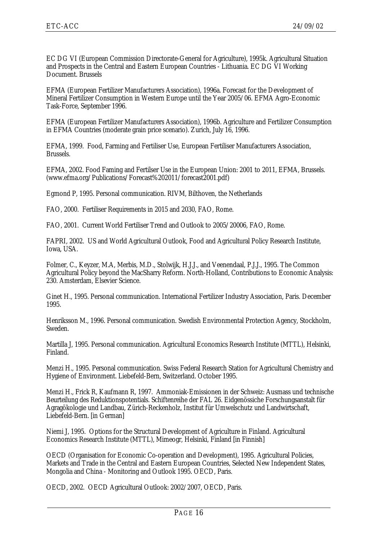EC DG VI (European Commission Directorate-General for Agriculture), 1995k. Agricultural Situation and Prospects in the Central and Eastern European Countries - Lithuania. EC DG VI Working Document. Brussels

EFMA (European Fertilizer Manufacturers Association), 1996a. Forecast for the Development of Mineral Fertilizer Consumption in Western Europe until the Year 2005/06. EFMA Agro-Economic Task-Force, September 1996.

EFMA (European Fertilizer Manufacturers Association), 1996b. Agriculture and Fertilizer Consumption in EFMA Countries (moderate grain price scenario). Zurich, July 16, 1996.

EFMA, 1999. Food, Farming and Fertiliser Use, European Fertiliser Manufacturers Association, Brussels.

EFMA, 2002. Food Faming and Fertilser Use in the European Union: 2001 to 2011, EFMA, Brussels. (www.efma.org/Publications/Forecast%202011/forecast2001.pdf)

Egmond P, 1995. Personal communication. RIVM, Bilthoven, the Netherlands

FAO, 2000. Fertiliser Requirements in 2015 and 2030, FAO, Rome.

FAO, 2001. Current World Fertiliser Trend and Outlook to 2005/20006, FAO, Rome.

FAPRI, 2002. US and World Agricultural Outlook, Food and Agricultural Policy Research Institute, Iowa, USA.

Folmer, C., Keyzer, M.A, Merbis, M.D., Stolwijk, H.J.J., and Veenendaal, P.J.J., 1995. The Common Agricultural Policy beyond the MacSharry Reform. North-Holland, Contributions to Economic Analysis: 230. Amsterdam, Elsevier Science.

Ginet H., 1995. Personal communication. International Fertilizer Industry Association, Paris. December 1995.

Henriksson M., 1996. Personal communication. Swedish Environmental Protection Agency, Stockholm, Sweden.

Martilla J, 1995. Personal communication. Agricultural Economics Research Institute (MTTL), Helsinki, Finland.

Menzi H., 1995. Personal communication. Swiss Federal Research Station for Agricultural Chemistry and Hygiene of Environment. Liebefeld-Bern, Switzerland. October 1995.

Menzi H., Frick R, Kaufmann R, 1997. Ammoniak-Emissionen in der Schweiz: Ausmass und technische Beurteilung des Reduktionspotentials. Schiftenreihe der FAL 26. Eidgenössiche Forschungsanstalt für Agragökologie und Landbau, Zürich-Reckenholz, Institut für Umwelschutz und Landwirtschaft, Liebefeld-Bern. [in German]

Niemi J, 1995. Options for the Structural Development of Agriculture in Finland. Agricultural Economics Research Institute (MTTL), Mimeogr, Helsinki, Finland [in Finnish]

OECD (Organisation for Economic Co-operation and Development), 1995. Agricultural Policies, Markets and Trade in the Central and Eastern European Countries, Selected New Independent States, Mongolia and China - Monitoring and Outlook 1995. OECD, Paris.

OECD, 2002. OECD Agricultural Outlook: 2002/2007, OECD, Paris.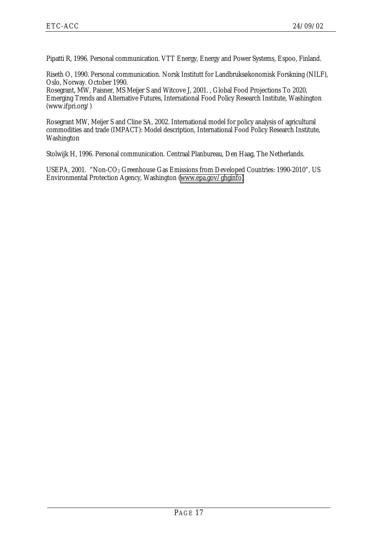Pipatti R, 1996. Personal communication. VTT Energy, Energy and Power Systems, Espoo, Finland.

Riseth O, 1990. Personal communication. Norsk Institutt for Landbruksøkonomisk Forskning (NILF), Oslo, Norway. October 1990.

Rosegrant, MW, Paisner, MS Meijer S and Witcove J, 2001. , Global Food Projections To 2020, Emerging Trends and Alternative Futures, International Food Policy Research Institute, Washington (www.ifpri.org/)

Rosegrant MW, Meijer S and Cline SA, 2002. International model for policy analysis of agricultural commodities and trade (IMPACT): Model description, International Food Policy Research Institute, Washington

Stolwijk H, 1996. Personal communication. Centraal Planbureau, Den Haag, The Netherlands.

USEPA, 2001. "Non-CO<sub>2</sub> Greenhouse Gas Emissions from Developed Countries: 1990-2010", US Environmental Protection Agency, Washington ([www.epa.gov/ghginfo\)](http://www.epa.gov/ghginfo)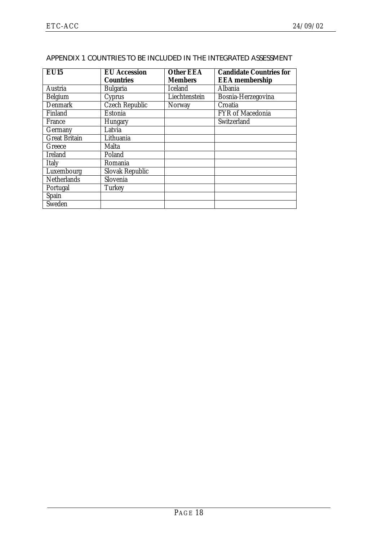| <b>EU15</b>          | <b>EU</b> Accession<br><b>Countries</b> | <b>Other EEA</b><br><b>Members</b> | <b>Candidate Countries for</b><br><b>EEA</b> membership |
|----------------------|-----------------------------------------|------------------------------------|---------------------------------------------------------|
|                      |                                         |                                    |                                                         |
| Austria              | <b>Bulgaria</b>                         | <b>Iceland</b>                     | Albania                                                 |
| <b>Belgium</b>       | Cyprus                                  | Liechtenstein                      | Bosnia-Herzegovina                                      |
| <b>Denmark</b>       | <b>Czech Republic</b>                   | Norway                             | Croatia                                                 |
| Finland              | Estonia                                 |                                    | FYR of Macedonia                                        |
| France               | <b>Hungary</b>                          |                                    | Switzerland                                             |
| Germany              | Latvia                                  |                                    |                                                         |
| <b>Great Britain</b> | Lithuania                               |                                    |                                                         |
| Greece               | Malta                                   |                                    |                                                         |
| <b>Ireland</b>       | Poland                                  |                                    |                                                         |
| <b>Italy</b>         | Romania                                 |                                    |                                                         |
| Luxembourg           | <b>Slovak Republic</b>                  |                                    |                                                         |
| <b>Netherlands</b>   | Slovenia                                |                                    |                                                         |
| Portugal             | <b>Turkey</b>                           |                                    |                                                         |
| Spain                |                                         |                                    |                                                         |
| Sweden               |                                         |                                    |                                                         |

### <span id="page-20-0"></span>APPENDIX 1 COUNTRIES TO BE INCLUDED IN THE INTEGRATED ASSESSMENT